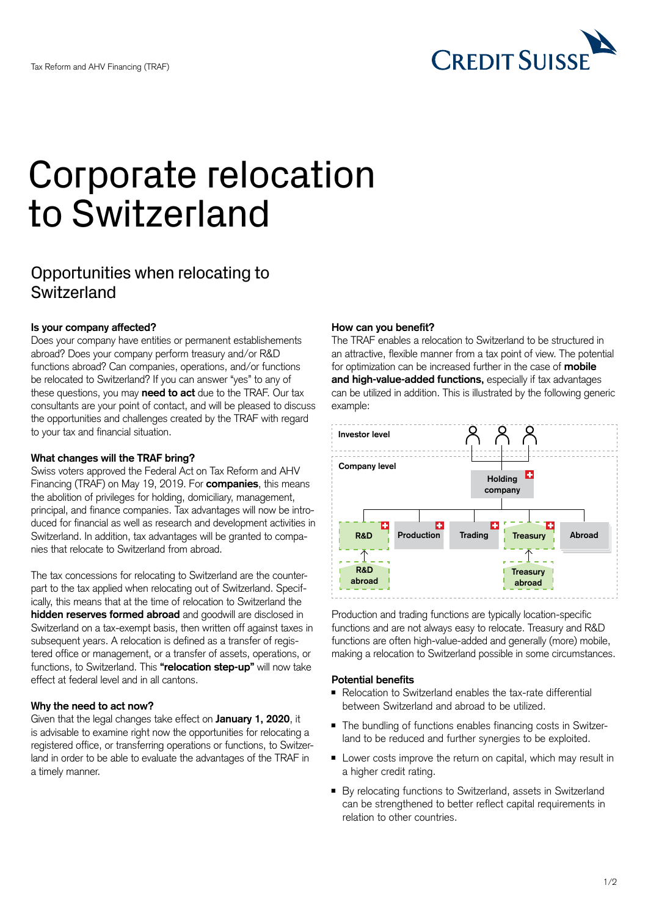

# Corporate relocation to Switzerland

# Opportunities when relocating to **Switzerland**

#### **Is your company affected?**

Does your company have entities or permanent establishements abroad? Does your company perform treasury and/or R&D functions abroad? Can companies, operations, and/or functions be relocated to Switzerland? If you can answer "yes" to any of these questions, you may **need to act** due to the TRAF. Our tax consultants are your point of contact, and will be pleased to discuss the opportunities and challenges created by the TRAF with regard to your tax and financial situation.

#### **What changes will the TRAF bring?**

Swiss voters approved the Federal Act on Tax Reform and AHV Financing (TRAF) on May 19, 2019. For **companies**, this means the abolition of privileges for holding, domiciliary, management, principal, and finance companies. Tax advantages will now be introduced for financial as well as research and development activities in Switzerland. In addition, tax advantages will be granted to companies that relocate to Switzerland from abroad.

The tax concessions for relocating to Switzerland are the counterpart to the tax applied when relocating out of Switzerland. Specifically, this means that at the time of relocation to Switzerland the **hidden reserves formed abroad** and goodwill are disclosed in Switzerland on a tax-exempt basis, then written off against taxes in subsequent years. A relocation is defined as a transfer of registered office or management, or a transfer of assets, operations, or functions, to Switzerland. This **"relocation step-up"** will now take effect at federal level and in all cantons.

#### **Why the need to act now?**

Given that the legal changes take effect on **January 1, 2020**, it is advisable to examine right now the opportunities for relocating a registered office, or transferring operations or functions, to Switzerland in order to be able to evaluate the advantages of the TRAF in a timely manner.

#### **How can you benefit?**

The TRAF enables a relocation to Switzerland to be structured in an attractive, flexible manner from a tax point of view. The potential for optimization can be increased further in the case of **mobile and high-value-added functions,** especially if tax advantages can be utilized in addition. This is illustrated by the following generic example:



Production and trading functions are typically location-specific functions and are not always easy to relocate. Treasury and R&D functions are often high-value-added and generally (more) mobile, making a relocation to Switzerland possible in some circumstances.

#### **Potential benefits**

- Relocation to Switzerland enables the tax-rate differential between Switzerland and abroad to be utilized.
- The bundling of functions enables financing costs in Switzerland to be reduced and further synergies to be exploited.
- Lower costs improve the return on capital, which may result in a higher credit rating.
- By relocating functions to Switzerland, assets in Switzerland can be strengthened to better reflect capital requirements in relation to other countries.